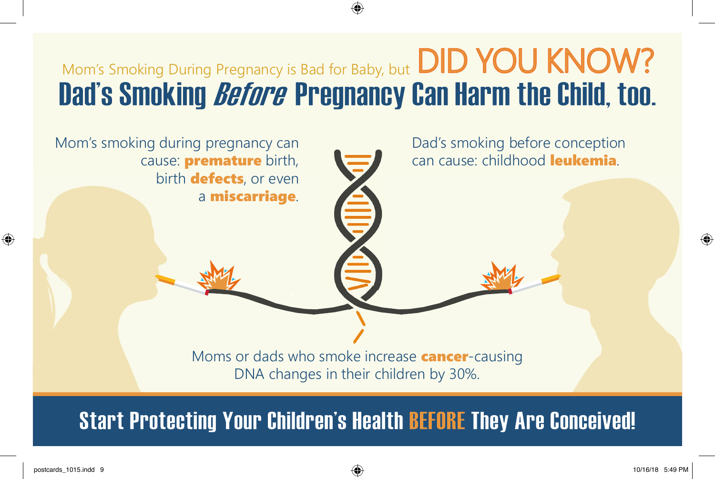## Mom's Smoking During Pregnancy is Bad for Baby, but DID YOU KNOW? Dad's Smoking *Before* Pregnancy Can Harm the Child, too.



**Start Protecting Your Children's Health BEFORE They Are Conceived!**